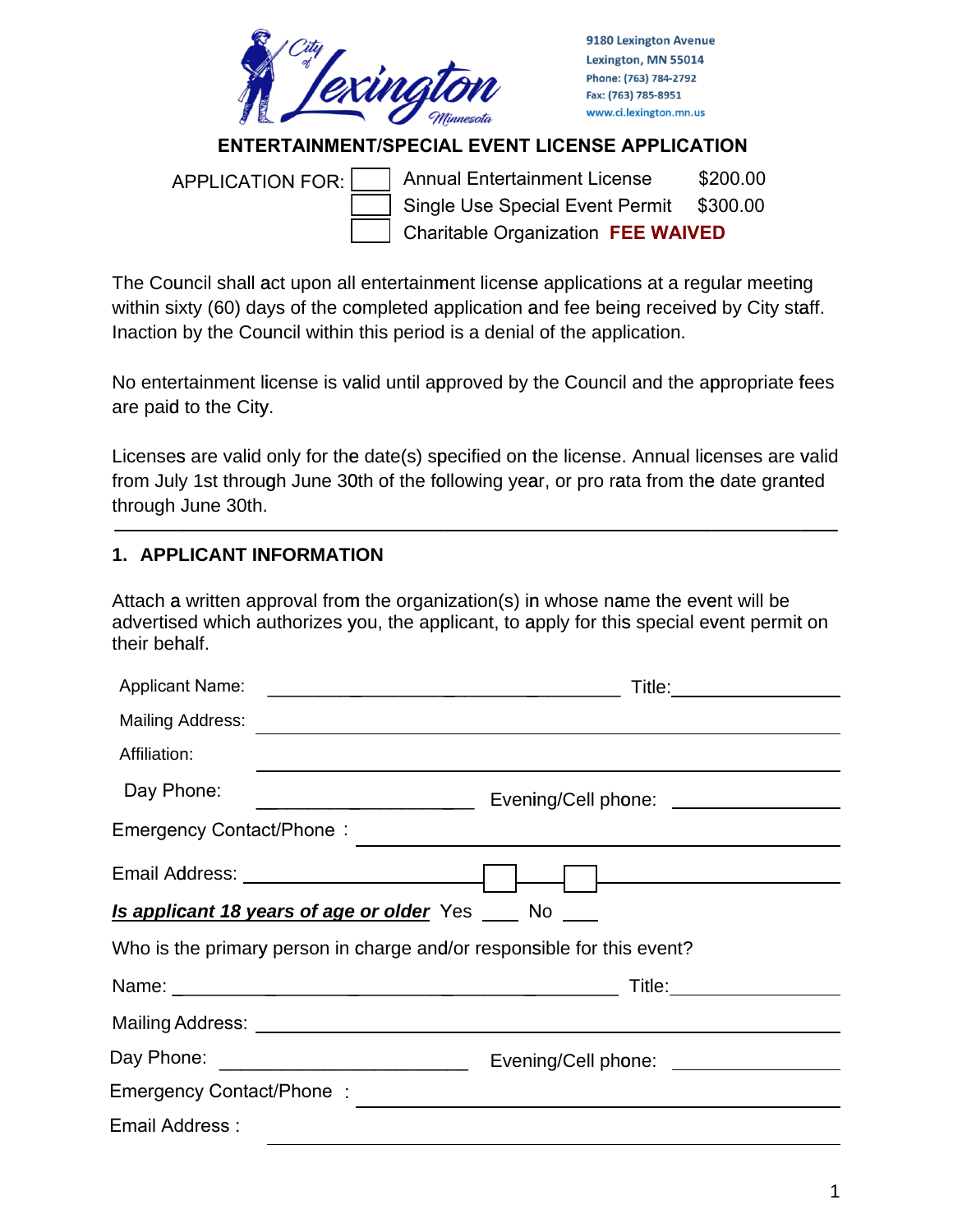

9180 Lexington Avenue Lexington, MN 55014 Phone: (763) 784-2792 Fax: (763) 785-8951 www.ci.lexington.mn.us

## **ENTERTAINMENT/SPECIAL EVENT LICENSE APPLICATION**

Annual Entertainment License \$200.00 Single Use Special Event Permit \$300.00 Charitable Organization **FEE WAIVED** APPLICATION FOR:

The Council shall act upon all entertainment license applications at a regular meeting within sixty (60) days of the completed application and fee being received by City staff. Inaction by the Council within this period is a denial of the application.

No entertainment license is valid until approved by the Council and the appropriate fees are paid to the City.

Licenses are valid only for the date(s) specified on the license. Annual licenses are valid from July 1st through June 30th of the following year, or pro rata from the date granted through June 30th.

### **1. APPLICANT INFORMATION**

Attach a written approval from the organization(s) in whose name the event will be advertised which authorizes you, the applicant, to apply for this special event permit on their beh half.

| Affiliation:   |                                                                                                                |
|----------------|----------------------------------------------------------------------------------------------------------------|
| Day Phone:     |                                                                                                                |
|                |                                                                                                                |
|                |                                                                                                                |
|                | <b>Is applicant 18 years of age or older</b> Yes ___ No ___                                                    |
|                | Who is the primary person in charge and/or responsible for this event?                                         |
|                |                                                                                                                |
|                |                                                                                                                |
|                |                                                                                                                |
|                | Emergency Contact/Phone : 2008 2009 2009 2009 2009 2010 2020 2031 2040 2051 2062 2071 2082 2093 2009 2011 2020 |
| Email Address: |                                                                                                                |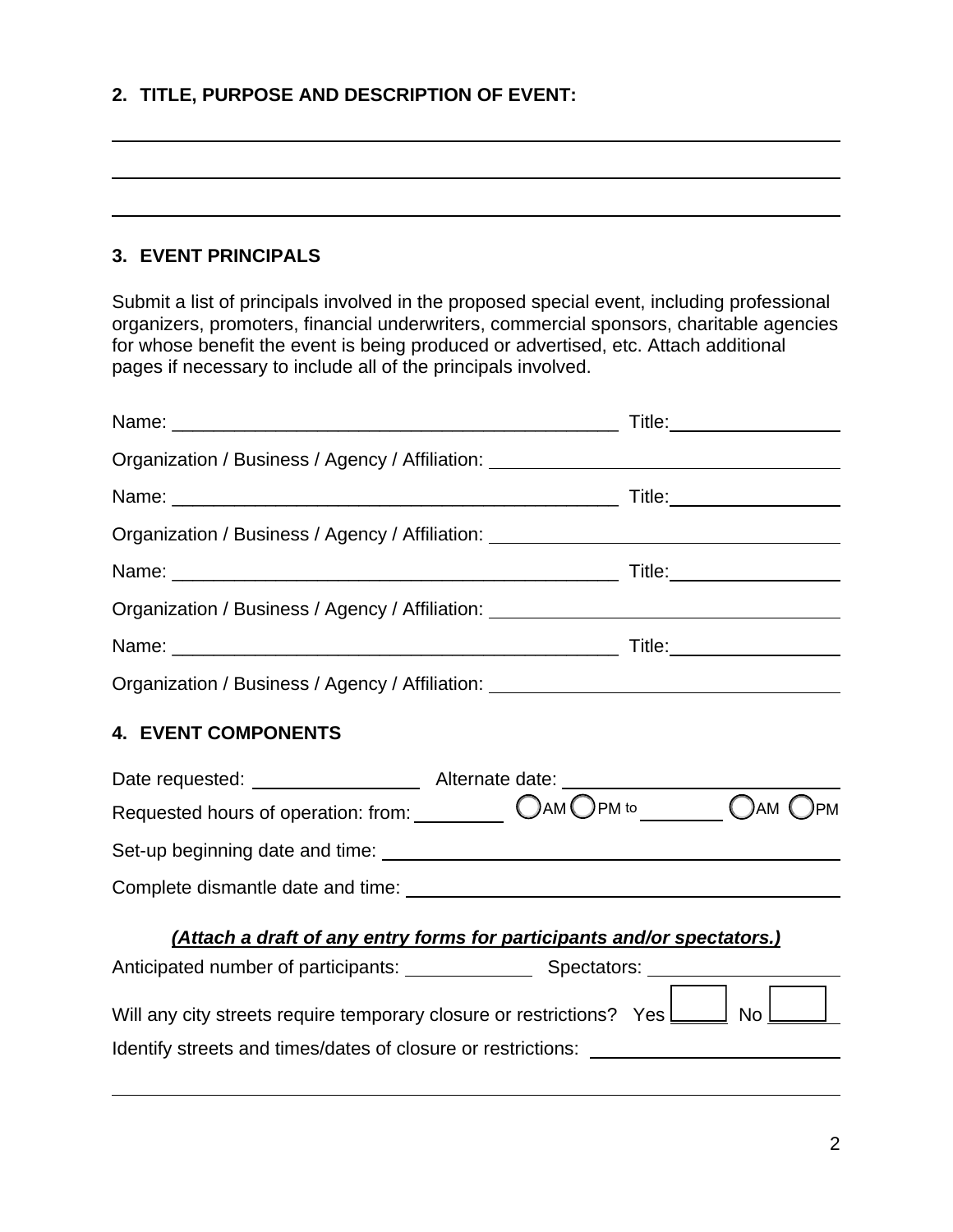## **2. TITLE, PURPOSE AND DESCRIPTION OF EVENT:**

#### **3. EVENT PRINCIPALS**

Submit a list of principals involved in the proposed special event, including professional organizers, promoters, financial underwriters, commercial sponsors, charitable agencies for whose benefit the event is being produced or advertised, etc. Attach additional pages if necessary to include all of the principals involved.

|                                                                                        | Title:_______________________ |     |
|----------------------------------------------------------------------------------------|-------------------------------|-----|
| Organization / Business / Agency / Affiliation: ________________________________       |                               |     |
|                                                                                        |                               |     |
| Organization / Business / Agency / Affiliation: ________________________________       |                               |     |
|                                                                                        |                               |     |
| Organization / Business / Agency / Affiliation: ________________________________       |                               |     |
|                                                                                        |                               |     |
| Organization / Business / Agency / Affiliation: ________________________________       |                               |     |
| <b>4. EVENT COMPONENTS</b>                                                             |                               |     |
|                                                                                        |                               |     |
| Requested hours of operation: from: __________ OAM OPM to _______ OAM (                |                               | JРM |
|                                                                                        |                               |     |
|                                                                                        |                               |     |
| (Attach a draft of any entry forms for participants and/or spectators.)                |                               |     |
|                                                                                        |                               |     |
| Will any city streets require temporary closure or restrictions? Yes <b>Lease</b> No 1 |                               |     |
| Identify streets and times/dates of closure or restrictions: ____________________      |                               |     |
|                                                                                        |                               |     |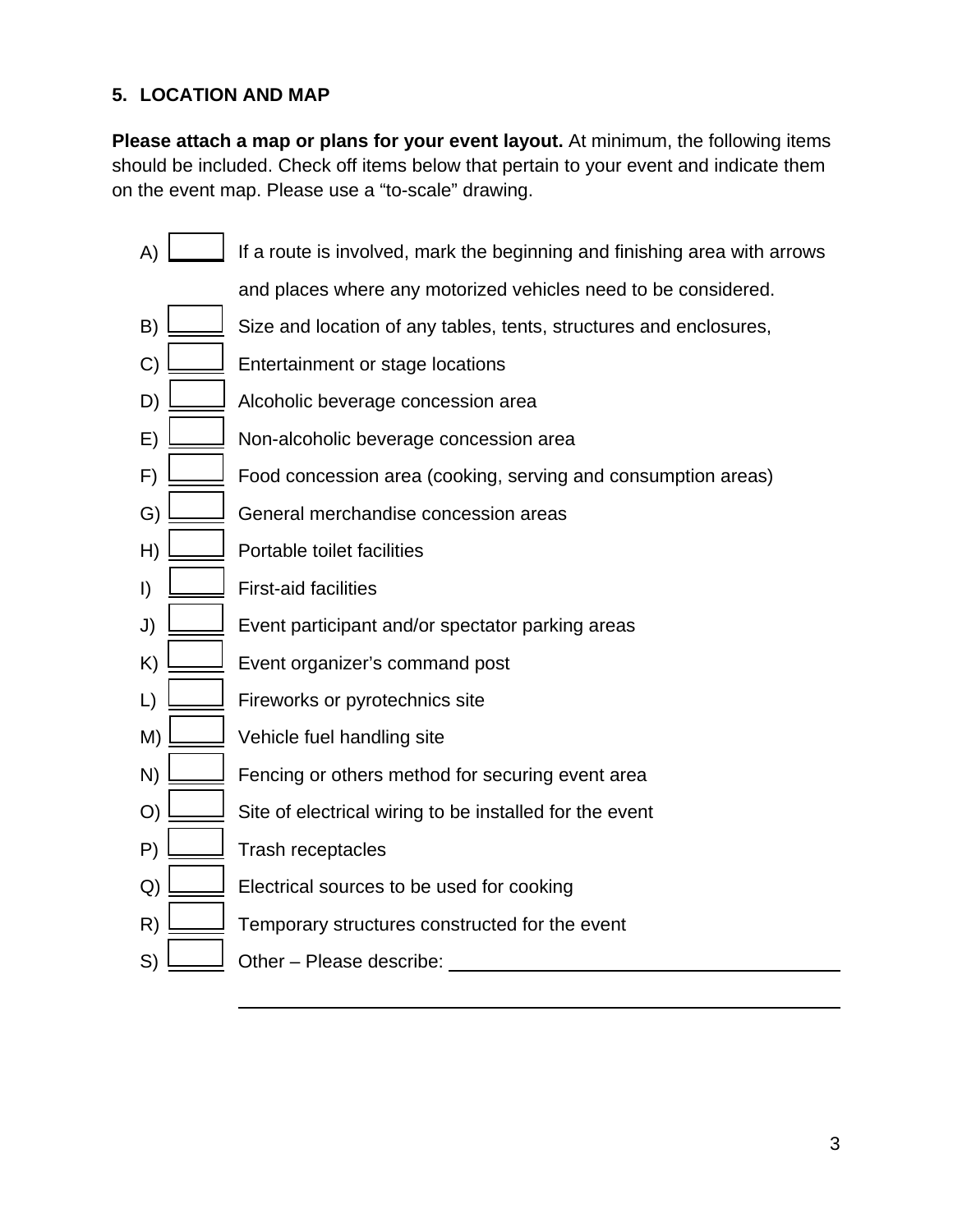# **5. LOCATION AND MAP**

**Please attach a map or plans for your event layout.** At minimum, the following items should be included. Check off items below that pertain to your event and indicate them on the event map. Please use a "to-scale" drawing.

- A)  $\Box$  If a route is involved, mark the beginning and finishing area with arrows
	- and places where any motorized vehicles need to be considered.
- B) Size and location of any tables, tents, structures and enclosures,
- $C$ )  $\Box$  Entertainment or stage locations
- D)  $\Box$  Alcoholic beverage concession area
- E) Non-alcoholic beverage concession area
- $\Box$  Food concession area (cooking, serving and consumption areas)
- G) General merchandise concession areas
- H) Portable toilet facilities
- I) First-aid facilities
- J) Event participant and/or spectator parking areas
- $K$ )  $\Box$  Event organizer's command post
- L) Fireworks or pyrotechnics site
- M) Vehicle fuel handling site
- N) Fencing or others method for securing event area
- $\Box$  Site of electrical wiring to be installed for the event
- P)  $\Box$  Trash receptacles

 $\overline{a}$ 

- $Q$ )  $\Box$  Electrical sources to be used for cooking
- R) Temporary structures constructed for the event
- $S)$   $\Box$  Other Please describe: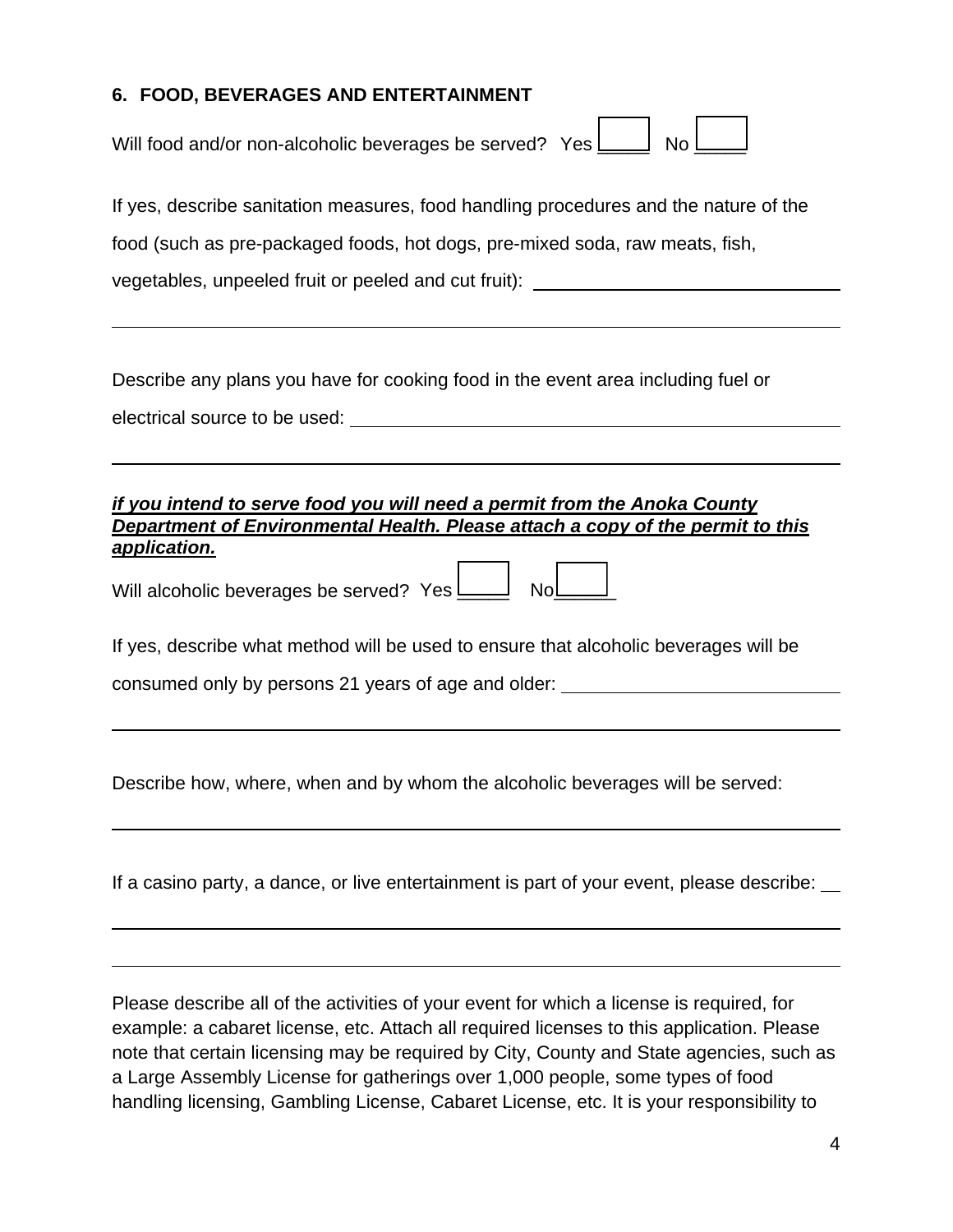## **6. FOOD, BEVERAGES AND ENTERTAINMENT**

| Will food and/or non-alcoholic beverages be served? Yes $\boxed{\phantom{a}}$<br>No                                                                                                                                                 |  |  |  |  |  |
|-------------------------------------------------------------------------------------------------------------------------------------------------------------------------------------------------------------------------------------|--|--|--|--|--|
| If yes, describe sanitation measures, food handling procedures and the nature of the                                                                                                                                                |  |  |  |  |  |
| food (such as pre-packaged foods, hot dogs, pre-mixed soda, raw meats, fish,                                                                                                                                                        |  |  |  |  |  |
| vegetables, unpeeled fruit or peeled and cut fruit): ___________________________                                                                                                                                                    |  |  |  |  |  |
|                                                                                                                                                                                                                                     |  |  |  |  |  |
| Describe any plans you have for cooking food in the event area including fuel or                                                                                                                                                    |  |  |  |  |  |
|                                                                                                                                                                                                                                     |  |  |  |  |  |
| if you intend to serve food you will need a permit from the Anoka County<br>Department of Environmental Health. Please attach a copy of the permit to this<br>application.<br>Will alcoholic beverages be served? Yes $\Box$<br>NoL |  |  |  |  |  |
| If yes, describe what method will be used to ensure that alcoholic beverages will be<br>consumed only by persons 21 years of age and older:                                                                                         |  |  |  |  |  |
|                                                                                                                                                                                                                                     |  |  |  |  |  |

Describe how, where, when and by whom the alcoholic beverages will be served:

If a casino party, a dance, or live entertainment is part of your event, please describe:

Please describe all of the activities of your event for which a license is required, for example: a cabaret license, etc. Attach all required licenses to this application. Please note that certain licensing may be required by City, County and State agencies, such as a Large Assembly License for gatherings over 1,000 people, some types of food handling licensing, Gambling License, Cabaret License, etc. It is your responsibility to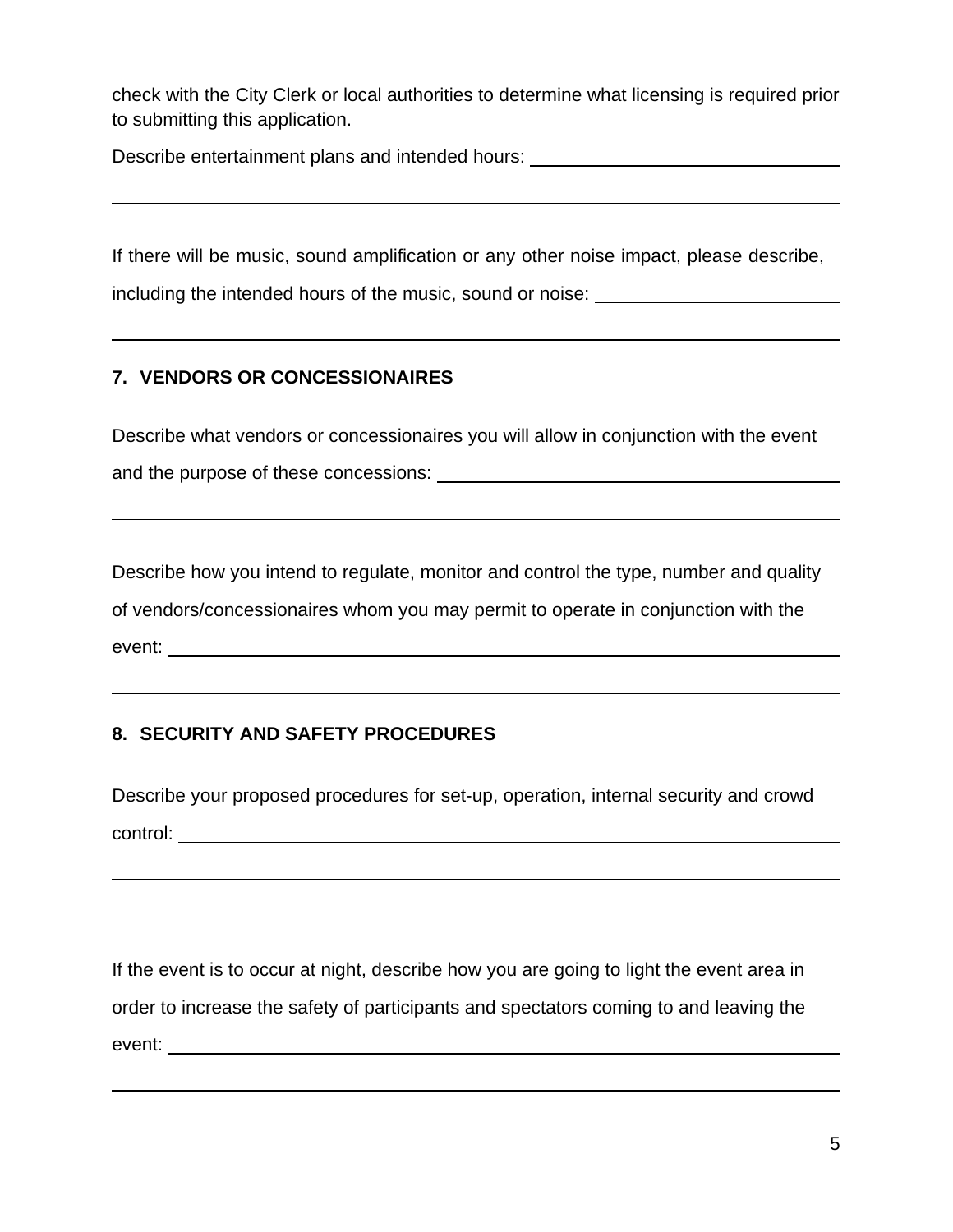check with the City Clerk or local authorities to determine what licensing is required prior to submitting this application.

Describe entertainment plans and intended hours:

If there will be music, sound amplification or any other noise impact, please describe,

including the intended hours of the music, sound or noise:

# **7. VENDORS OR CONCESSIONAIRES**

 $\overline{a}$ 

 $\overline{a}$ 

 $\overline{a}$ 

 $\overline{a}$ 

 $\overline{a}$ 

 $\overline{a}$ 

Describe what vendors or concessionaires you will allow in conjunction with the event and the purpose of these concessions:

Describe how you intend to regulate, monitor and control the type, number and quality of vendors/concessionaires whom you may permit to operate in conjunction with the event: where the contract of the contract of the contract of the contract of the contract of the contract of the contract of the contract of the contract of the contract of the contract of the contract of the contract of t

# **8. SECURITY AND SAFETY PROCEDURES**

Describe your proposed procedures for set-up, operation, internal security and crowd control:

If the event is to occur at night, describe how you are going to light the event area in order to increase the safety of participants and spectators coming to and leaving the event: where the contract of the contract of the contract of the contract of the contract of the contract of the contract of the contract of the contract of the contract of the contract of the contract of the contract of t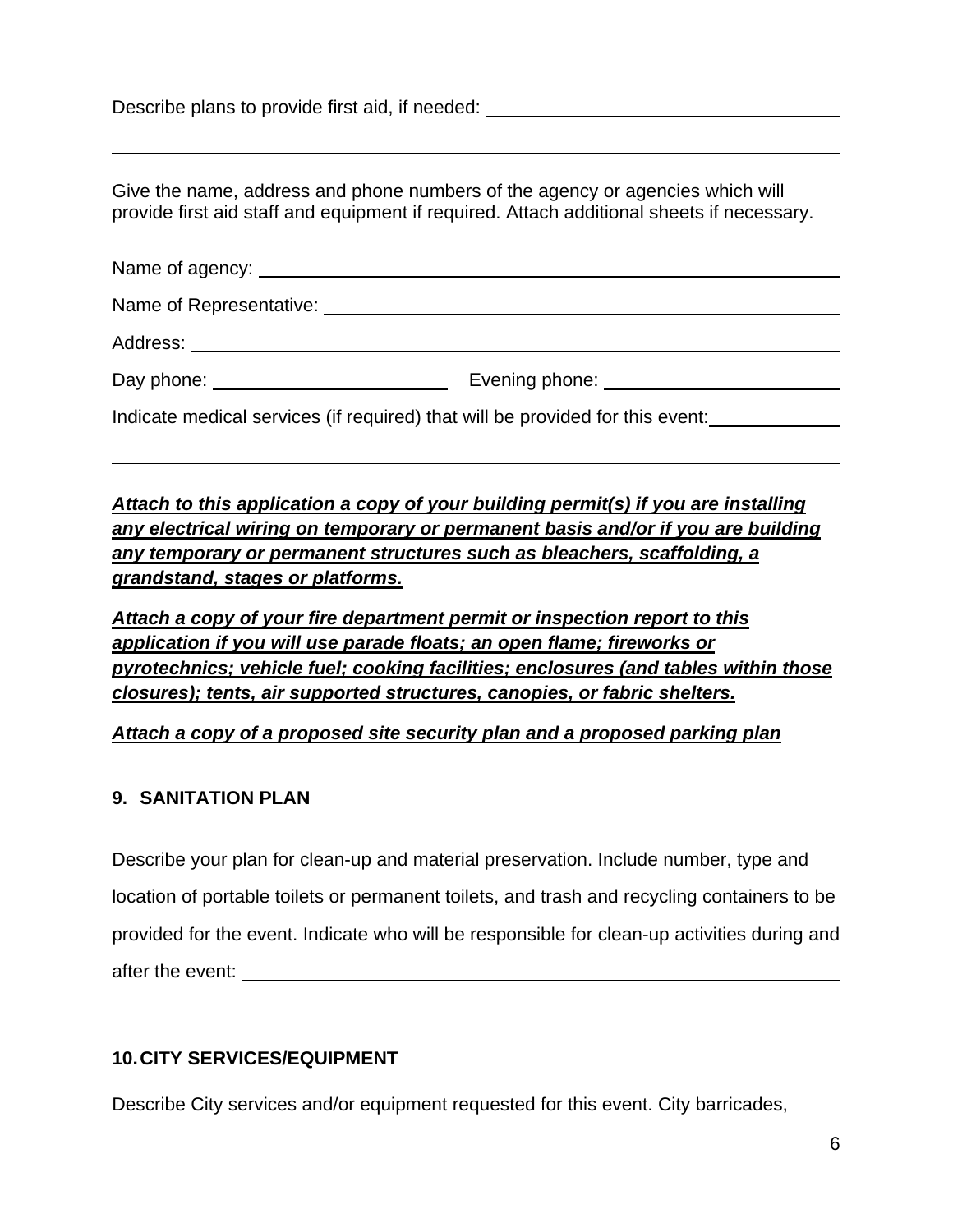Describe plans to provide first aid, if needed: \_\_\_\_\_\_\_\_\_\_\_\_\_\_\_\_\_\_\_\_\_\_\_\_\_\_\_\_\_\_\_\_

 $\overline{a}$ 

 $\overline{a}$ 

 $\overline{a}$ 

Give the name, address and phone numbers of the agency or agencies which will provide first aid staff and equipment if required. Attach additional sheets if necessary.

| Indicate medical services (if required) that will be provided for this event: |  |
|-------------------------------------------------------------------------------|--|

*Attach to this application a copy of your building permit(s) if you are installing any electrical wiring on temporary or permanent basis and/or if you are building any temporary or permanent structures such as bleachers, scaffolding, a grandstand, stages or platforms.*

*Attach a copy of your fire department permit or inspection report to this application if you will use parade floats; an open flame; fireworks or pyrotechnics; vehicle fuel; cooking facilities; enclosures (and tables within those closures); tents, air supported structures, canopies, or fabric shelters.*

*Attach a copy of a proposed site security plan and a proposed parking plan*

## **9. SANITATION PLAN**

Describe your plan for clean-up and material preservation. Include number, type and location of portable toilets or permanent toilets, and trash and recycling containers to be provided for the event. Indicate who will be responsible for clean-up activities during and after the event:

## **10. CITY SERVICES/EQUIPMENT**

Describe City services and/or equipment requested for this event. City barricades,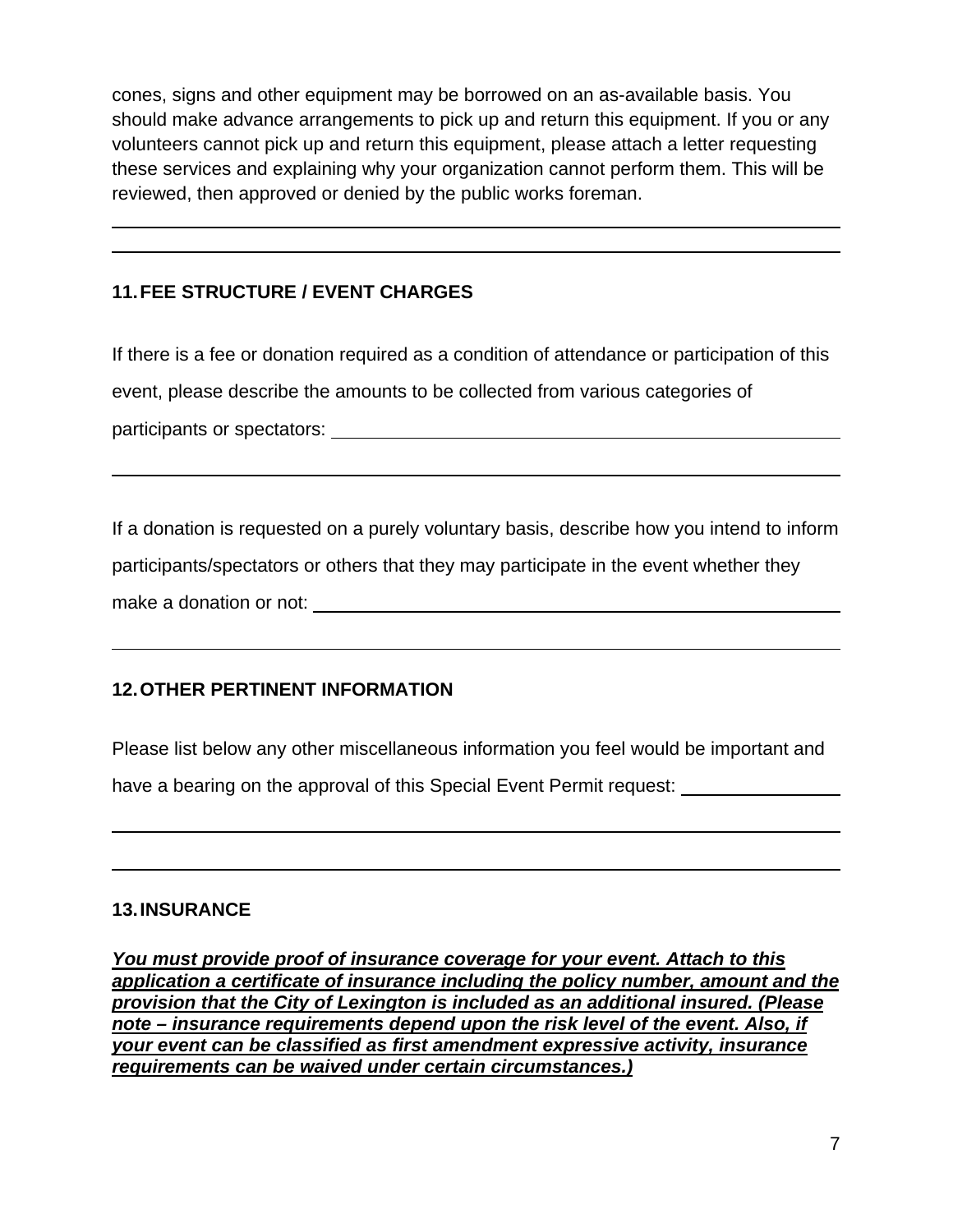cones, signs and other equipment may be borrowed on an as-available basis. You should make advance arrangements to pick up and return this equipment. If you or any volunteers cannot pick up and return this equipment, please attach a letter requesting these services and explaining why your organization cannot perform them. This will be reviewed, then approved or denied by the public works foreman.

## **11. FEE STRUCTURE / EVENT CHARGES**

 $\overline{a}$ 

 $\overline{a}$ 

 $\overline{a}$ 

 $\overline{a}$ 

If there is a fee or donation required as a condition of attendance or participation of this event, please describe the amounts to be collected from various categories of participants or spectators:  $\overline{\phantom{a}}$ 

If a donation is requested on a purely voluntary basis, describe how you intend to inform participants/spectators or others that they may participate in the event whether they make a donation or not:

## **12. OTHER PERTINENT INFORMATION**

Please list below any other miscellaneous information you feel would be important and have a bearing on the approval of this Special Event Permit request:

#### **13. INSURANCE**

*You must provide proof of insurance coverage for your event. Attach to this application a certificate of insurance including the policy number, amount and the provision that the City of Lexington is included as an additional insured. (Please note – insurance requirements depend upon the risk level of the event. Also, if your event can be classified as first amendment expressive activity, insurance requirements can be waived under certain circumstances.)*